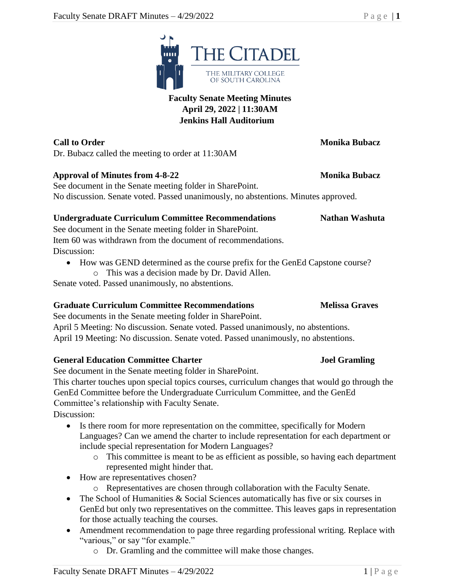

Dr. Bubacz called the meeting to order at 11:30AM

## Approval of Minutes from 4-8-22 Monika Bubacz

See document in the Senate meeting folder in SharePoint. No discussion. Senate voted. Passed unanimously, no abstentions. Minutes approved.

## **Undergraduate Curriculum Committee Recommendations Nathan Washuta**

See document in the Senate meeting folder in SharePoint. Item 60 was withdrawn from the document of recommendations. Discussion:

- How was GEND determined as the course prefix for the GenEd Capstone course?
	- o This was a decision made by Dr. David Allen.

Senate voted. Passed unanimously, no abstentions.

# **Graduate Curriculum Committee Recommendations Melissa Graves**

See documents in the Senate meeting folder in SharePoint. April 5 Meeting: No discussion. Senate voted. Passed unanimously, no abstentions. April 19 Meeting: No discussion. Senate voted. Passed unanimously, no abstentions.

# **General Education Committee Charter Joel Gramling**

See document in the Senate meeting folder in SharePoint.

This charter touches upon special topics courses, curriculum changes that would go through the GenEd Committee before the Undergraduate Curriculum Committee, and the GenEd Committee's relationship with Faculty Senate. Discussion:

- Is there room for more representation on the committee, specifically for Modern Languages? Can we amend the charter to include representation for each department or include special representation for Modern Languages?
	- o This committee is meant to be as efficient as possible, so having each department represented might hinder that.
- How are representatives chosen?
	- o Representatives are chosen through collaboration with the Faculty Senate.
- The School of Humanities & Social Sciences automatically has five or six courses in GenEd but only two representatives on the committee. This leaves gaps in representation for those actually teaching the courses.
- Amendment recommendation to page three regarding professional writing. Replace with "various," or say "for example."
	- o Dr. Gramling and the committee will make those changes.

## **Faculty Senate Meeting Minutes April 29, 2022 | 11:30AM Jenkins Hall Auditorium**



# **Call to Order Monika Bubacz**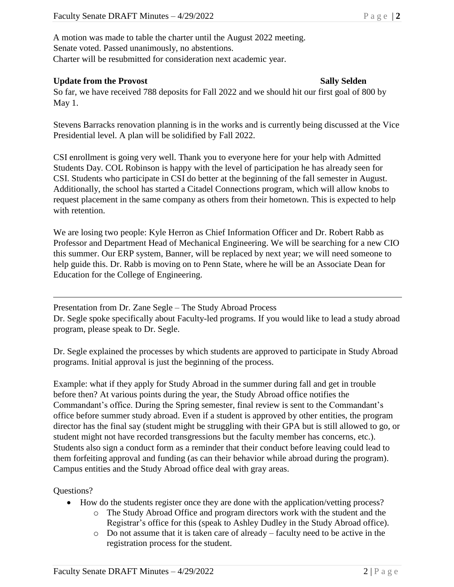A motion was made to table the charter until the August 2022 meeting. Senate voted. Passed unanimously, no abstentions. Charter will be resubmitted for consideration next academic year.

## **Update from the Provost Sally Selden**

So far, we have received 788 deposits for Fall 2022 and we should hit our first goal of 800 by May 1.

Stevens Barracks renovation planning is in the works and is currently being discussed at the Vice Presidential level. A plan will be solidified by Fall 2022.

CSI enrollment is going very well. Thank you to everyone here for your help with Admitted Students Day. COL Robinson is happy with the level of participation he has already seen for CSI. Students who participate in CSI do better at the beginning of the fall semester in August. Additionally, the school has started a Citadel Connections program, which will allow knobs to request placement in the same company as others from their hometown. This is expected to help with retention.

We are losing two people: Kyle Herron as Chief Information Officer and Dr. Robert Rabb as Professor and Department Head of Mechanical Engineering. We will be searching for a new CIO this summer. Our ERP system, Banner, will be replaced by next year; we will need someone to help guide this. Dr. Rabb is moving on to Penn State, where he will be an Associate Dean for Education for the College of Engineering.

Presentation from Dr. Zane Segle – The Study Abroad Process

Dr. Segle spoke specifically about Faculty-led programs. If you would like to lead a study abroad program, please speak to Dr. Segle.

Dr. Segle explained the processes by which students are approved to participate in Study Abroad programs. Initial approval is just the beginning of the process.

Example: what if they apply for Study Abroad in the summer during fall and get in trouble before then? At various points during the year, the Study Abroad office notifies the Commandant's office. During the Spring semester, final review is sent to the Commandant's office before summer study abroad. Even if a student is approved by other entities, the program director has the final say (student might be struggling with their GPA but is still allowed to go, or student might not have recorded transgressions but the faculty member has concerns, etc.). Students also sign a conduct form as a reminder that their conduct before leaving could lead to them forfeiting approval and funding (as can their behavior while abroad during the program). Campus entities and the Study Abroad office deal with gray areas.

Questions?

- How do the students register once they are done with the application/vetting process?
	- o The Study Abroad Office and program directors work with the student and the Registrar's office for this (speak to Ashley Dudley in the Study Abroad office).
	- o Do not assume that it is taken care of already faculty need to be active in the registration process for the student.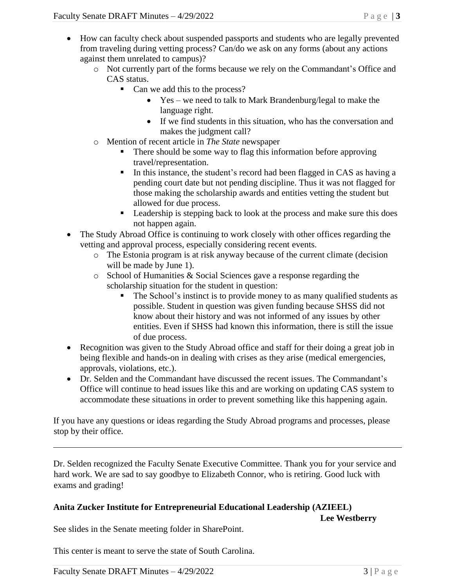- How can faculty check about suspended passports and students who are legally prevented from traveling during vetting process? Can/do we ask on any forms (about any actions against them unrelated to campus)?
	- o Not currently part of the forms because we rely on the Commandant's Office and CAS status.
		- Can we add this to the process?
			- Yes we need to talk to Mark Brandenburg/legal to make the language right.
			- If we find students in this situation, who has the conversation and makes the judgment call?
	- o Mention of recent article in *The State* newspaper
		- There should be some way to flag this information before approving travel/representation.
		- **I.** In this instance, the student's record had been flagged in CAS as having a pending court date but not pending discipline. Thus it was not flagged for those making the scholarship awards and entities vetting the student but allowed for due process.
		- Leadership is stepping back to look at the process and make sure this does not happen again.
- The Study Abroad Office is continuing to work closely with other offices regarding the vetting and approval process, especially considering recent events.
	- o The Estonia program is at risk anyway because of the current climate (decision will be made by June 1).
	- o School of Humanities & Social Sciences gave a response regarding the scholarship situation for the student in question:
		- The School's instinct is to provide money to as many qualified students as possible. Student in question was given funding because SHSS did not know about their history and was not informed of any issues by other entities. Even if SHSS had known this information, there is still the issue of due process.
- Recognition was given to the Study Abroad office and staff for their doing a great job in being flexible and hands-on in dealing with crises as they arise (medical emergencies, approvals, violations, etc.).
- Dr. Selden and the Commandant have discussed the recent issues. The Commandant's Office will continue to head issues like this and are working on updating CAS system to accommodate these situations in order to prevent something like this happening again.

If you have any questions or ideas regarding the Study Abroad programs and processes, please stop by their office.

Dr. Selden recognized the Faculty Senate Executive Committee. Thank you for your service and hard work. We are sad to say goodbye to Elizabeth Connor, who is retiring. Good luck with exams and grading!

## **Anita Zucker Institute for Entrepreneurial Educational Leadership (AZIEEL)**

**Lee Westberry**

See slides in the Senate meeting folder in SharePoint.

This center is meant to serve the state of South Carolina.